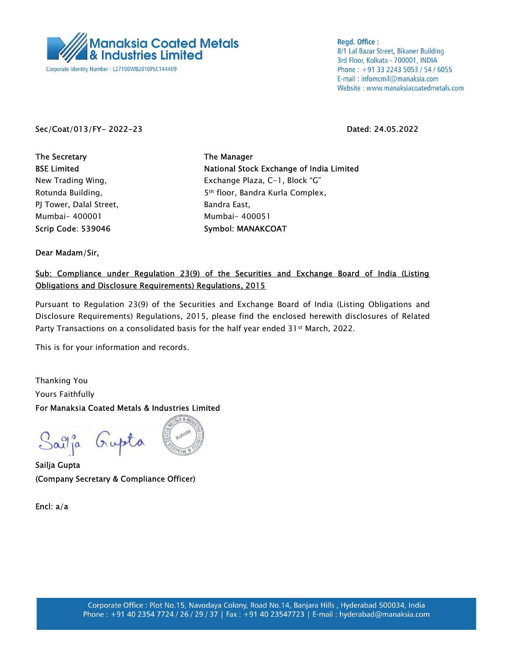

**Regd. Office:** 8/1 Lal Bazar Street, Bikaner Building 3rd Floor, Kolkata - 700001, INDIA Phone: +91 33 2243 5053 / 54 / 6055 E-mail: infomcmil@manaksia.com Website: www.manaksiacoatedmetals.com

## Sec/Coat/013/FY- 2022-23 Dated: 24.05.2022

The Secretary The Manager PJ Tower, Dalal Street, Bandra East, Mumbai- 400001 Mumbai- 400051 Scrip Code: 539046 Symbol: MANAKCOAT

BSE Limited **National Stock Exchange of India Limited** New Trading Wing, The Mass Exchange Plaza, C-1, Block "G" Rotunda Building, The State of the State Standard Standard Kurla Complex,

Dear Madam/Sir,

## Sub: Compliance under Regulation 23(9) of the Securities and Exchange Board of India (Listing Obligations and Disclosure Requirements) Regulations, 2015

Pursuant to Regulation 23(9) of the Securities and Exchange Board of India (Listing Obligations and Disclosure Requirements) Regulations, 2015, please find the enclosed herewith disclosures of Related Party Transactions on a consolidated basis for the half year ended 31st March, 2022.

This is for your information and records.

Thanking You Yours Faithfully For Manaksia Coated Metals & Industries Limited

Sailja Gupta

Sailja Gupta (Company Secretary & Compliance Officer)

Encl: a/a